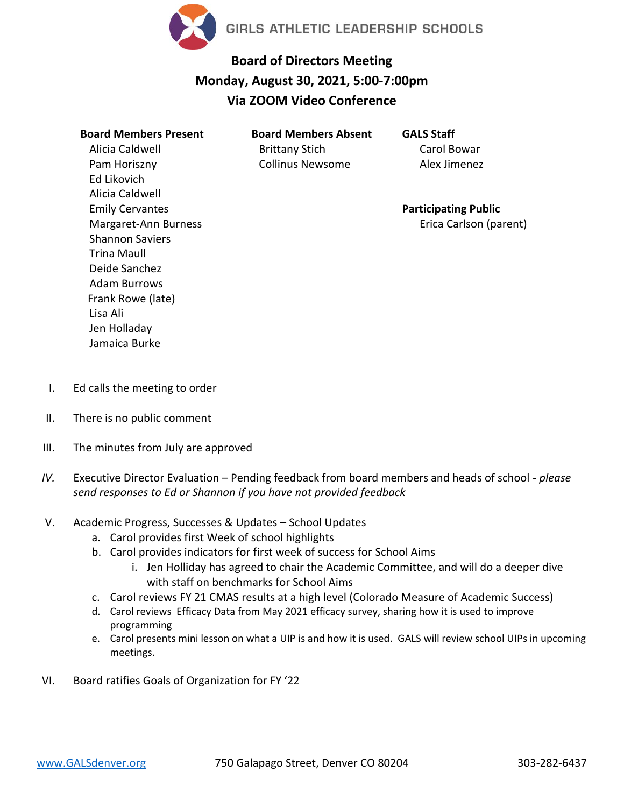

## **Board of Directors Meeting Monday, August 30, 2021, 5:00-7:00pm Via ZOOM Video Conference**

**Board Members Present** Alicia Caldwell Pam Horiszny Ed Likovich Alicia Caldwell Emily Cervantes Margaret-Ann Burness Shannon Saviers Trina Maull Deide Sanchez Adam Burrows Frank Rowe (late) Lisa Ali Jen Holladay Jamaica Burke

**Board Members Absent** Brittany Stich Collinus Newsome

**GALS Staff** Carol Bowar Alex Jimenez

**Participating Public** Erica Carlson (parent)

- I. Ed calls the meeting to order
- II. There is no public comment
- III. The minutes from July are approved
- *IV.* Executive Director Evaluation Pending feedback from board members and heads of school *please send responses to Ed or Shannon if you have not provided feedback*
- V. Academic Progress, Successes & Updates School Updates
	- a. Carol provides first Week of school highlights
	- b. Carol provides indicators for first week of success for School Aims
		- i. Jen Holliday has agreed to chair the Academic Committee, and will do a deeper dive with staff on benchmarks for School Aims
	- c. Carol reviews FY 21 CMAS results at a high level (Colorado Measure of Academic Success)
	- d. Carol reviews Efficacy Data from May 2021 efficacy survey, sharing how it is used to improve programming
	- e. Carol presents mini lesson on what a UIP is and how it is used. GALS will review school UIPs in upcoming meetings.
- VI. Board ratifies Goals of Organization for FY '22